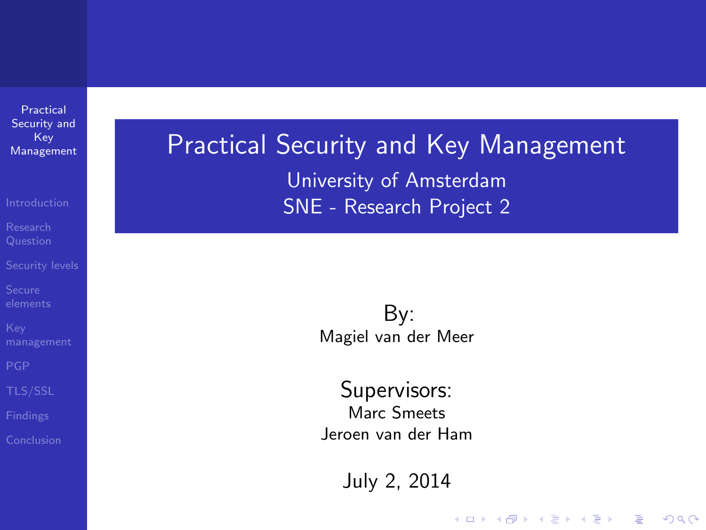Practical Security and Key [Management](#page-19-0)

[Security levels](#page-3-0)

<span id="page-0-0"></span>

Practical Security and Key Management University of Amsterdam SNE - Research Project 2

> By: Magiel van der Meer

Supervisors: Marc Smeets Jeroen van der Ham

July 2, 2014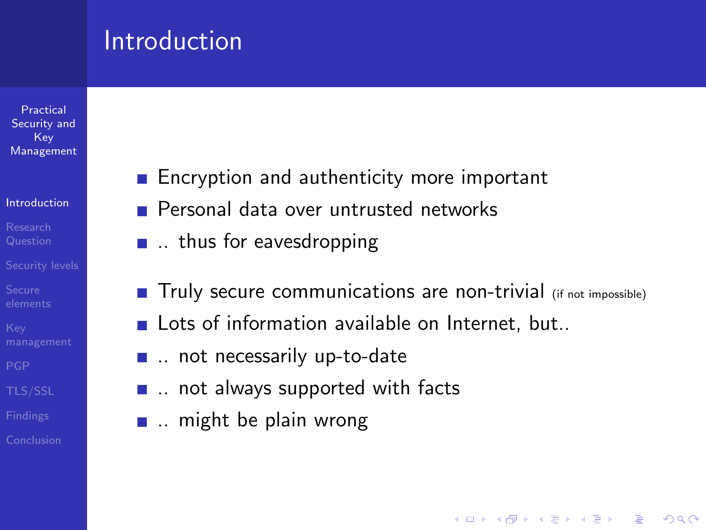# Introduction

Practical Security and Key [Management](#page-0-0)

#### [Introduction](#page-1-0)

[Security levels](#page-3-0)

<span id="page-1-0"></span>

- **Encryption and authenticity more important**
- **Personal data over untrusted networks**
- ... thus for eavesdropping
- Truly secure communications are non-trivial (if not impossible)

**KORK ERKER ER AGA** 

- $\blacksquare$  Lots of information available on Internet, but...
- ... not necessarily up-to-date
- $\blacksquare$  ... not always supported with facts
- $\blacksquare$  ... might be plain wrong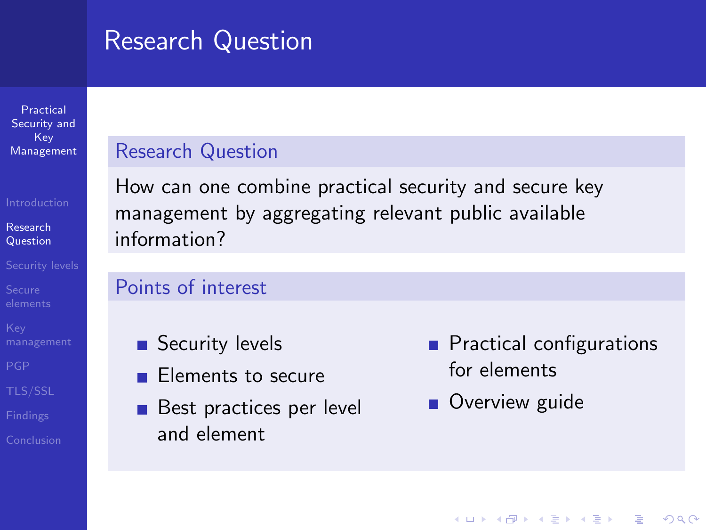# Research Question

Practical Security and Key [Management](#page-0-0)

#### Research [Question](#page-2-0)

[Security levels](#page-3-0)

<span id="page-2-0"></span>

#### Research Question

How can one combine practical security and secure key management by aggregating relevant public available information?

Points of interest

- Security levels
- **Elements to secure**
- **Best practices per level** and element
- **Practical configurations** for elements
- **Overview** guide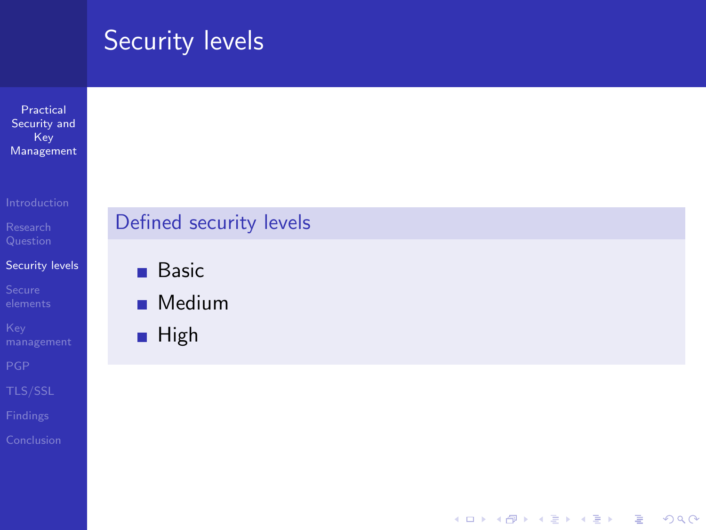# Practical Security and Key [Management](#page-0-0) [Security levels](#page-3-0) Security levels Defined security levels **Basic Medium High**

K ロ ▶ K @ ▶ K 할 > K 할 > 1 할 > 1 이익어

<span id="page-3-0"></span>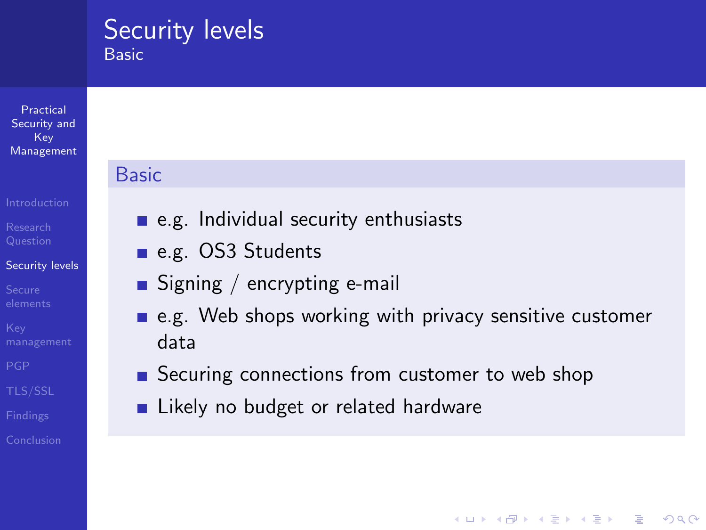#### Security levels Basic

Practical Security and Key [Management](#page-0-0)

#### [Security levels](#page-3-0)

#### Basic

- e.g. Individual security enthusiasts
- e.g. OS3 Students
- $\blacksquare$  Signing / encrypting e-mail
- $\blacksquare$  e.g. Web shops working with privacy sensitive customer data

- Securing connections from customer to web shop
- **Likely no budget or related hardware**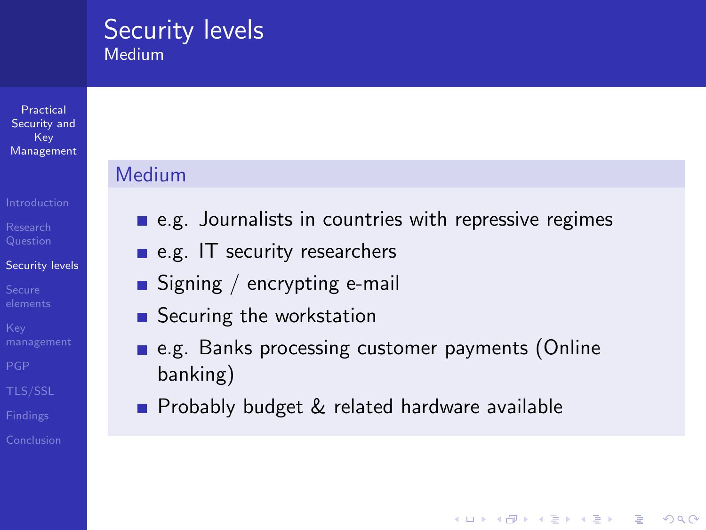#### Security levels Medium

Practical Security and Key [Management](#page-0-0)

#### [Security levels](#page-3-0)

#### Medium

- $\blacksquare$  e.g. Journalists in countries with repressive regimes
- e.g. IT security researchers
- $\blacksquare$  Signing / encrypting e-mail
- Securing the workstation
- e.g. Banks processing customer payments (Online banking)

**KORKA SERKER ORA** 

**Probably budget & related hardware available**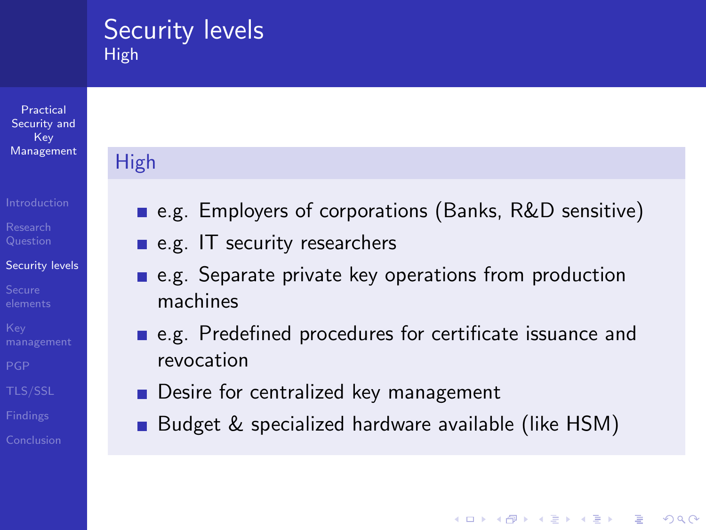### Security levels High

High

Practical Security and Key [Management](#page-0-0)

#### [Security levels](#page-3-0)

- e.g. Employers of corporations (Banks, R&D sensitive)
- e.g. IT security researchers
- e.g. Separate private key operations from production machines
- e.g. Predefined procedures for certificate issuance and revocation
- **Desire for centralized key management**
- Budget & specialized hardware available (like HSM)

**KORK ERKER ADE YOUR**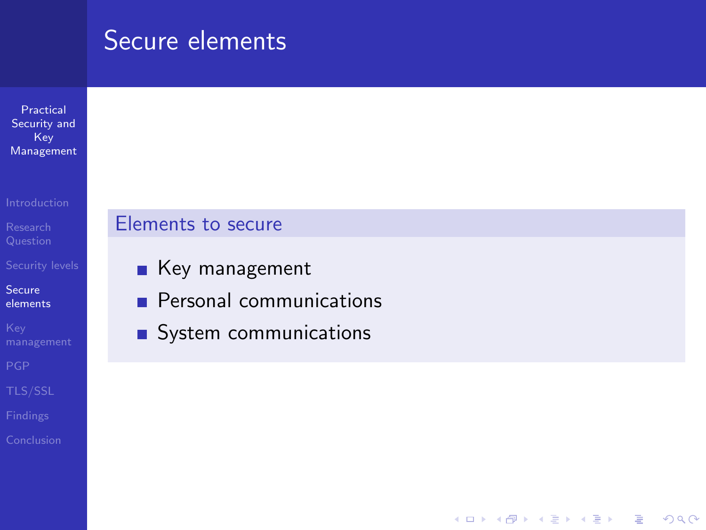## Secure elements

Practical Security and Key [Management](#page-0-0)

Secure [elements](#page-7-0)

<span id="page-7-0"></span>

#### Elements to secure

- Key management
- **Personal communications**
- System communications

K ロ ▶ K @ ▶ K 할 > K 할 > 1 할 > 1 이익어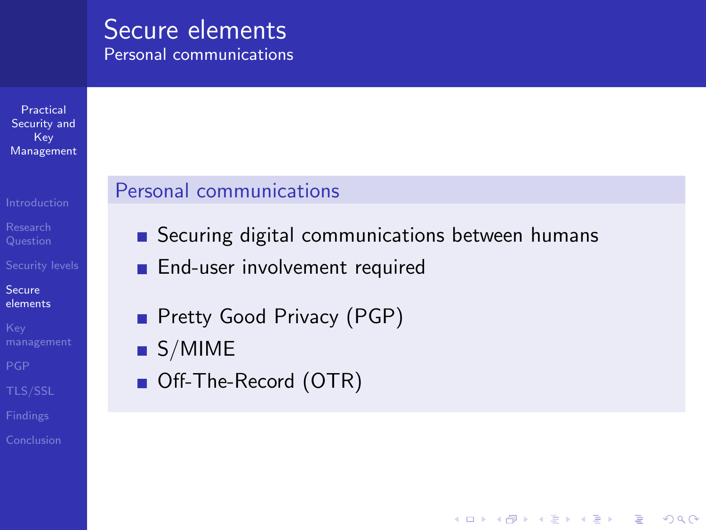#### Secure elements Personal communications

Practical Security and Key [Management](#page-0-0)

Secure [elements](#page-7-0)

#### Personal communications

■ Securing digital communications between humans

- **End-user involvement required**
- **Pretty Good Privacy (PGP)**
- $\blacksquare$  S/MIME
- **Off-The-Record (OTR)**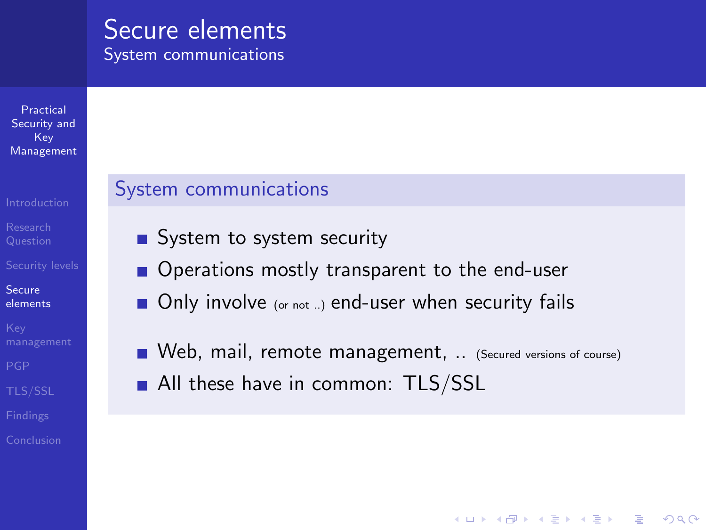#### Secure elements System communications

Practical Security and Key [Management](#page-0-0)

[Security levels](#page-3-0)

Secure [elements](#page-7-0)

#### System communications

- System to system security
- Operations mostly transparent to the end-user
- $\blacksquare$  Only involve (or not ...) end-user when security fails
- Web, mail, remote management, .. (Secured versions of course) All these have in common: TLS/SSL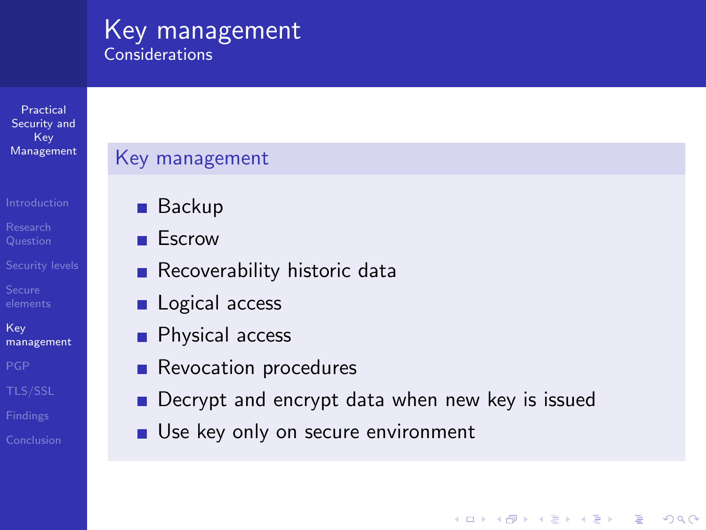#### Key management Considerations

Practical Security and Key [Management](#page-0-0)

#### Key management

- 
- 
- [Security levels](#page-3-0)
- 
- Key [management](#page-10-0)
- 
- 
- 
- <span id="page-10-0"></span>
- Backup
- **Escrow**
- Recoverability historic data
- **Logical access**
- **Physical access**
- Revocation procedures
- Decrypt and encrypt data when new key is issued m.

**KORKA SERKER ORA** 

Use key only on secure environment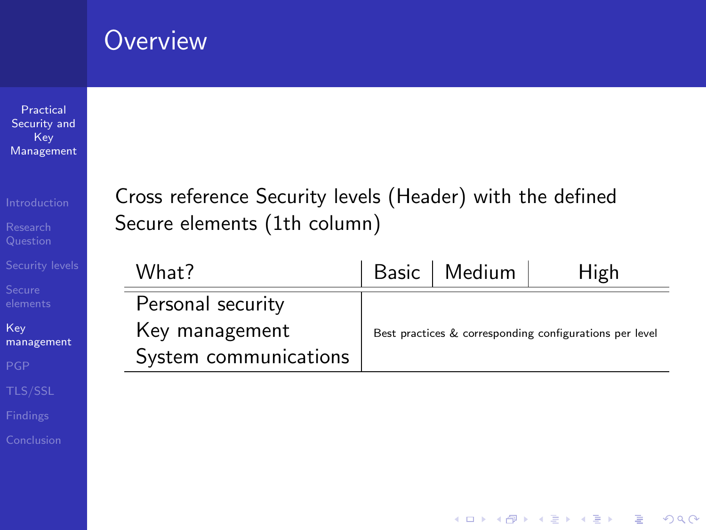## **Overview**

Practical Security and Key [Management](#page-0-0)

Key [management](#page-10-0)

Cross reference Security levels (Header) with the defined Secure elements (1th column)

| What?                 |                                                         | Basic   Medium | High |
|-----------------------|---------------------------------------------------------|----------------|------|
| Personal security     |                                                         |                |      |
| Key management        | Best practices & corresponding configurations per level |                |      |
| System communications |                                                         |                |      |

K ロ > K @ > K 할 > K 할 > 1 할 : ⊙ Q Q^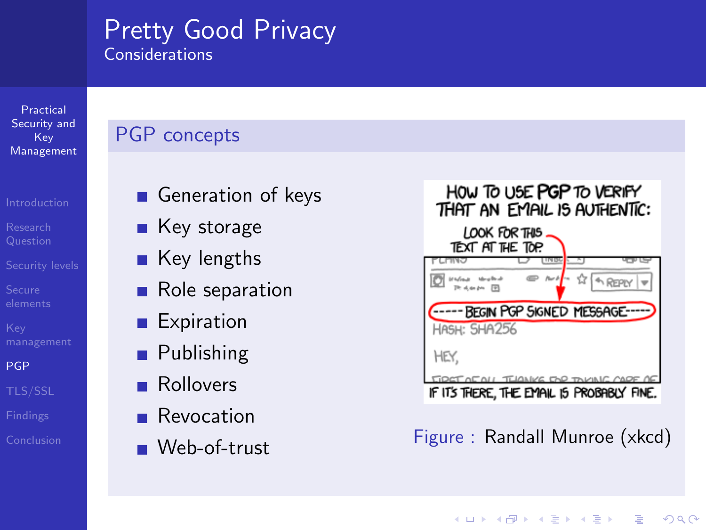#### Pretty Good Privacy Considerations

Practical Security and Key [Management](#page-0-0)

[Security levels](#page-3-0)

[PGP](#page-12-0)

- 
- 
- <span id="page-12-0"></span>

#### PGP concepts

- Generation of keys
- Key storage
- Key lengths
- Role separation
- Expiration  $\blacksquare$
- Publishing
- Rollovers
- **Revocation**
- 



 $\mathbf{E} = \mathbf{A} \oplus \mathbf{B} + \mathbf{A} \oplus \mathbf{B} + \mathbf{A} \oplus \mathbf{B} + \mathbf{A} \oplus \mathbf{A}$ 

 $2990$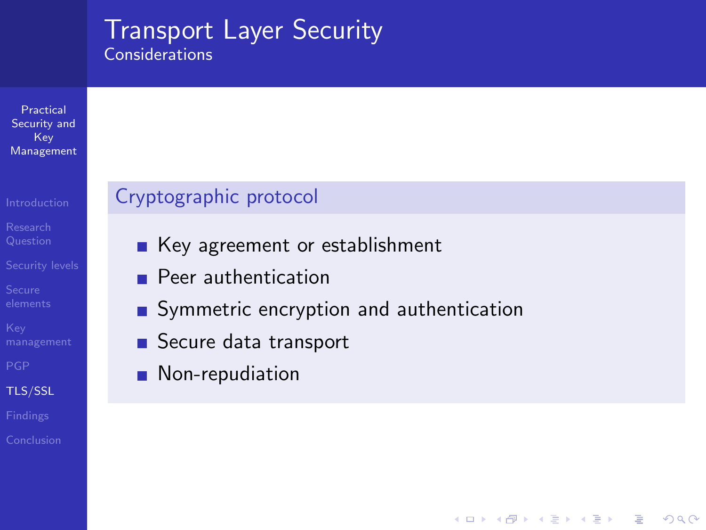#### Transport Layer Security **Considerations**

Practical Security and Key [Management](#page-0-0)

[Security levels](#page-3-0)

[TLS/SSL](#page-13-0)

<span id="page-13-0"></span>

#### Cryptographic protocol

- Key agreement or establishment
- **Peer authentication**
- Symmetric encryption and authentication

K ロ ▶ K @ ▶ K 할 > K 할 > 1 할 > 1 이익어

- Secure data transport
- **Non-repudiation**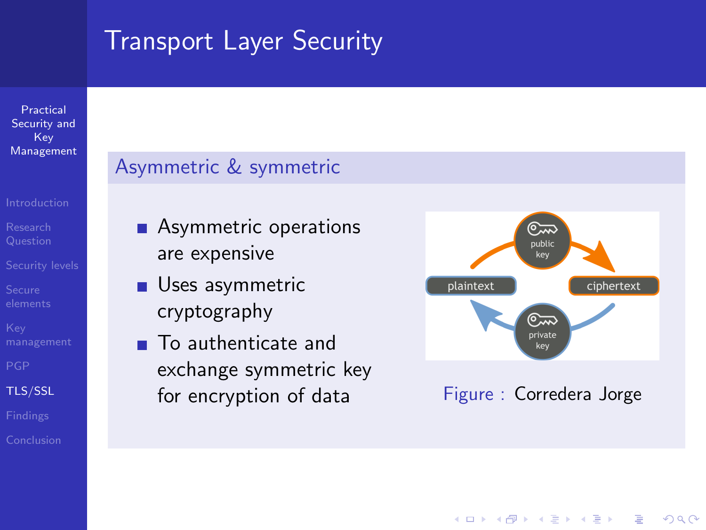# Transport Layer Security

Practical Security and **Key** [Management](#page-0-0)

[Security levels](#page-3-0)

[TLS/SSL](#page-13-0)

#### Asymmetric & symmetric

- **Asymmetric operations** are expensive
- **Uses asymmetric** cryptography
- To authenticate and exchange symmetric key for encryption of data Figure : Corredera Jorge

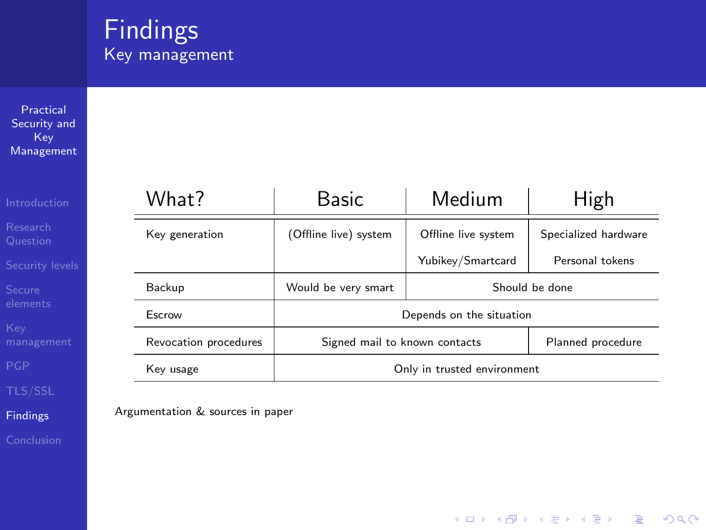#### **Findings** Key management

#### **Practical** Security and Key [Management](#page-0-0)

[Findings](#page-15-0)

<span id="page-15-0"></span>

| What?                 | Basic<br>Medium                              |                   | High                 |  |
|-----------------------|----------------------------------------------|-------------------|----------------------|--|
| Key generation        | (Offline live) system<br>Offline live system |                   | Specialized hardware |  |
|                       |                                              | Yubikey/Smartcard | Personal tokens      |  |
| Backup                | Would be very smart                          | Should be done    |                      |  |
| Escrow                | Depends on the situation                     |                   |                      |  |
| Revocation procedures | Signed mail to known contacts                |                   | Planned procedure    |  |
| Key usage             | Only in trusted environment                  |                   |                      |  |

イロトメ御 トメミトメミト 一番

 $2990$ 

Argumentation & sources in paper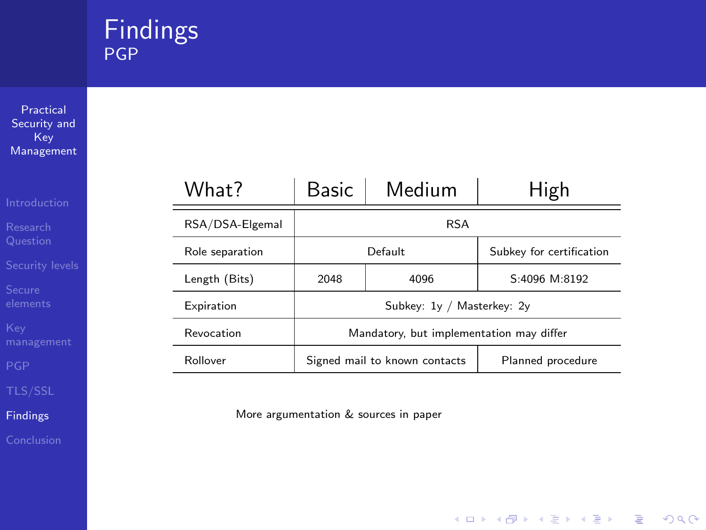#### Findings **PGP**

Practical Security and Key [Management](#page-0-0)

[Findings](#page-15-0)

| What?           | Basic                                    | Medium                        | High                     |  |  |
|-----------------|------------------------------------------|-------------------------------|--------------------------|--|--|
| RSA/DSA-Elgemal | <b>RSA</b>                               |                               |                          |  |  |
| Role separation | Default                                  |                               | Subkey for certification |  |  |
| Length (Bits)   | 2048                                     | 4096                          | S:4096 M:8192            |  |  |
| Expiration      | Subkey: 1y / Masterkey: 2y               |                               |                          |  |  |
| Revocation      | Mandatory, but implementation may differ |                               |                          |  |  |
| Rollover        |                                          | Signed mail to known contacts | Planned procedure        |  |  |

K □ ▶ K @ ▶ K 할 X K 할 X | 할 X 1 9 Q Q \*

More argumentation & sources in paper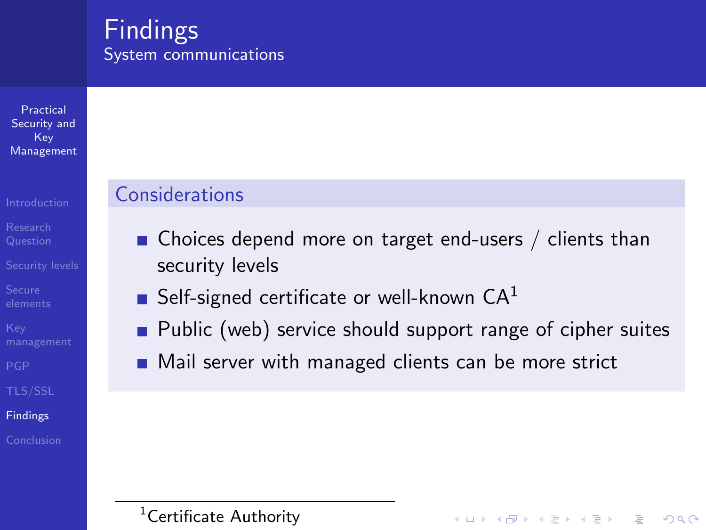#### Findings System communications

Practical Security and Key [Management](#page-0-0)

[Security levels](#page-3-0)

[Findings](#page-15-0)

#### **Considerations**

- $\blacksquare$  Choices depend more on target end-users / clients than security levels
- Self-signed certificate or well-known  $CA<sup>1</sup>$
- Public (web) service should support range of cipher suites
- Mail server with managed clients can be more strict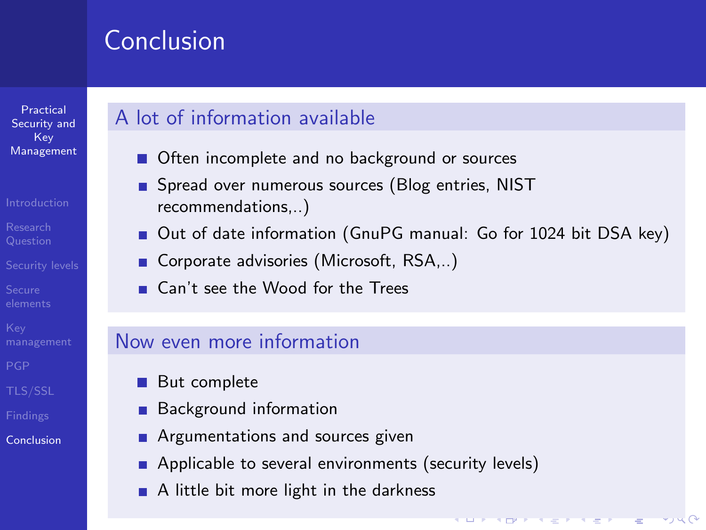# Conclusion

Practical Security and Key [Management](#page-0-0)

[Security levels](#page-3-0)

<span id="page-18-0"></span>[Conclusion](#page-18-0)

#### A lot of information available

- Often incomplete and no background or sources
- Spread over numerous sources (Blog entries, NIST recommendations,..)
- Out of date information (GnuPG manual: Go for 1024 bit DSA key)

U. P. MINT A EXPERIMENT

 $\rightarrow$ 

- Corporate advisories (Microsoft, RSA,..)
- **Can't see the Wood for the Trees**

#### Now even more information

- **But complete**
- Background information
- **Argumentations and sources given**
- **Applicable to several environments (security levels)**
- A little bit more light in the darkness